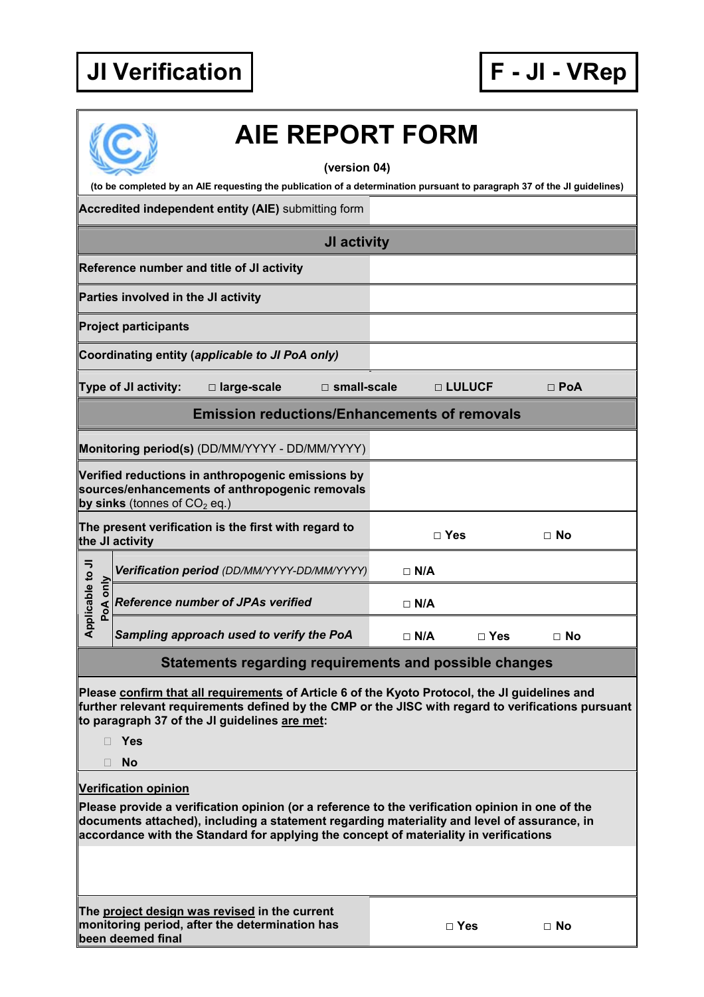

|                                                                         | <b>AIE REPORT FORM</b>                                                                                                                                                                                                                                                                                                 |               |            |            |  |  |  |  |
|-------------------------------------------------------------------------|------------------------------------------------------------------------------------------------------------------------------------------------------------------------------------------------------------------------------------------------------------------------------------------------------------------------|---------------|------------|------------|--|--|--|--|
|                                                                         | (version 04)<br>(to be completed by an AIE requesting the publication of a determination pursuant to paragraph 37 of the JI guidelines)                                                                                                                                                                                |               |            |            |  |  |  |  |
|                                                                         | Accredited independent entity (AIE) submitting form                                                                                                                                                                                                                                                                    |               |            |            |  |  |  |  |
|                                                                         |                                                                                                                                                                                                                                                                                                                        |               |            |            |  |  |  |  |
|                                                                         | JI activity                                                                                                                                                                                                                                                                                                            |               |            |            |  |  |  |  |
|                                                                         | Reference number and title of JI activity                                                                                                                                                                                                                                                                              |               |            |            |  |  |  |  |
|                                                                         | Parties involved in the JI activity                                                                                                                                                                                                                                                                                    |               |            |            |  |  |  |  |
|                                                                         | <b>Project participants</b>                                                                                                                                                                                                                                                                                            |               |            |            |  |  |  |  |
|                                                                         | Coordinating entity (applicable to JI PoA only)                                                                                                                                                                                                                                                                        |               |            |            |  |  |  |  |
|                                                                         | Type of JI activity:<br>$\square$ small-scale<br>□ large-scale                                                                                                                                                                                                                                                         |               | □ LULUCF   | $\Box$ PoA |  |  |  |  |
| <b>Emission reductions/Enhancements of removals</b>                     |                                                                                                                                                                                                                                                                                                                        |               |            |            |  |  |  |  |
|                                                                         | Monitoring period(s) (DD/MM/YYYY - DD/MM/YYYY)                                                                                                                                                                                                                                                                         |               |            |            |  |  |  |  |
|                                                                         | Verified reductions in anthropogenic emissions by<br>sources/enhancements of anthropogenic removals<br>by sinks (tonnes of $CO2$ eq.)                                                                                                                                                                                  |               |            |            |  |  |  |  |
| The present verification is the first with regard to<br>the JI activity |                                                                                                                                                                                                                                                                                                                        | $\square$ Yes |            | $\Box$ No  |  |  |  |  |
|                                                                         | Verification period (DD/MM/YYYY-DD/MM/YYYY)                                                                                                                                                                                                                                                                            | $\Box$ N/A    |            |            |  |  |  |  |
| Applicable to JI<br>PoA only                                            | <b>Reference number of JPAs verified</b>                                                                                                                                                                                                                                                                               | $\Box$ N/A    |            |            |  |  |  |  |
|                                                                         | Sampling approach used to verify the PoA                                                                                                                                                                                                                                                                               | $\Box$ N/A    | $\Box$ Yes | $\Box$ No  |  |  |  |  |
|                                                                         | Statements regarding requirements and possible changes                                                                                                                                                                                                                                                                 |               |            |            |  |  |  |  |
|                                                                         | Please confirm that all requirements of Article 6 of the Kyoto Protocol, the JI guidelines and<br>further relevant requirements defined by the CMP or the JISC with regard to verifications pursuant<br>to paragraph 37 of the JI guidelines are met:<br>Yes                                                           |               |            |            |  |  |  |  |
|                                                                         | <b>No</b>                                                                                                                                                                                                                                                                                                              |               |            |            |  |  |  |  |
|                                                                         | <b>Verification opinion</b><br>Please provide a verification opinion (or a reference to the verification opinion in one of the<br>documents attached), including a statement regarding materiality and level of assurance, in<br>accordance with the Standard for applying the concept of materiality in verifications |               |            |            |  |  |  |  |
|                                                                         |                                                                                                                                                                                                                                                                                                                        |               |            |            |  |  |  |  |
|                                                                         | The project design was revised in the current<br>monitoring period, after the determination has<br>been deemed final                                                                                                                                                                                                   |               | $\Box$ Yes | $\Box$ No  |  |  |  |  |